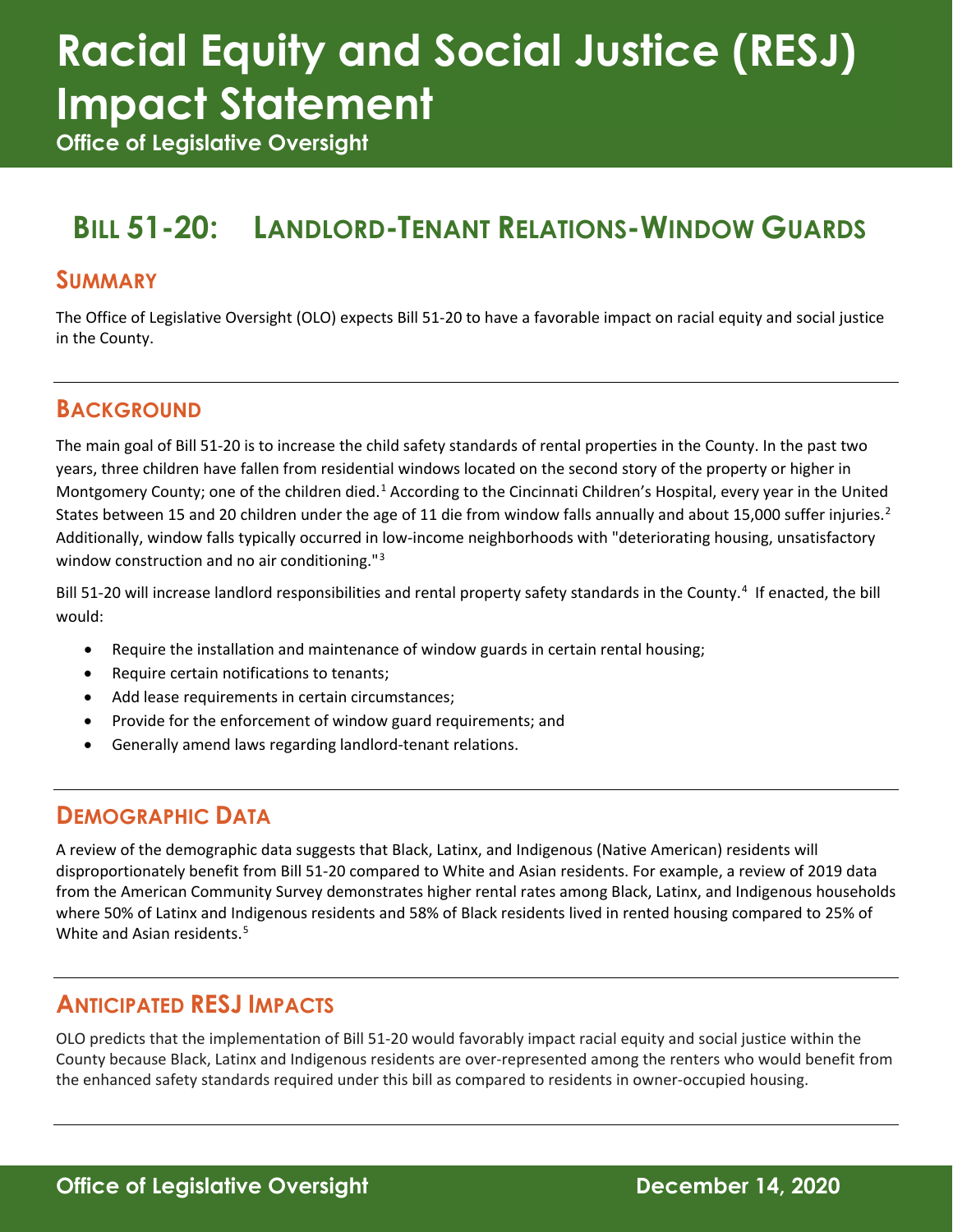# **Racial Equity and Social Justice (RESJ) Impact Statement**

**Office of Legislative Oversight**

# **BILL 51-20: LANDLORD-TENANT RELATIONS-WINDOW GUARDS**

#### **SUMMARY**

The Office of Legislative Oversight (OLO) expects Bill 51-20 to have a favorable impact on racial equity and social justice in the County.

#### **BACKGROUND**

The main goal of Bill 51-20 is to increase the child safety standards of rental properties in the County. In the past two years, three children have fallen from residential windows located on the second story of the property or higher in Montgomery County; one of the children died.<sup>[1](#page-1-0)</sup> According to the Cincinnati Children's Hospital, every year in the United States between 15 and [2](#page-1-1)0 children under the age of 11 die from window falls annually and about 15,000 suffer injuries.<sup>2</sup> Additionally, window falls typically occurred in low-income neighborhoods with "deteriorating housing, unsatisfactory window construction and no air conditioning."<sup>[3](#page-1-2)</sup>

Bill 51-20 will increase landlord responsibilities and rental property safety standards in the County.<sup>[4](#page-1-3)</sup> If enacted, the bill would:

- Require the installation and maintenance of window guards in certain rental housing;
- Require certain notifications to tenants;
- Add lease requirements in certain circumstances;
- Provide for the enforcement of window guard requirements; and
- Generally amend laws regarding landlord-tenant relations.

#### **DEMOGRAPHIC DATA**

A review of the demographic data suggests that Black, Latinx, and Indigenous (Native American) residents will disproportionately benefit from Bill 51-20 compared to White and Asian residents. For example, a review of 2019 data from the American Community Survey demonstrates higher rental rates among Black, Latinx, and Indigenous households where 50% of Latinx and Indigenous residents and 58% of Black residents lived in rented housing compared to 25% of White and Asian residents. [5](#page-1-4)

#### **ANTICIPATED RESJ IMPACTS**

OLO predicts that the implementation of Bill 51-20 would favorably impact racial equity and social justice within the County because Black, Latinx and Indigenous residents are over-represented among the renters who would benefit from the enhanced safety standards required under this bill as compared to residents in owner-occupied housing.